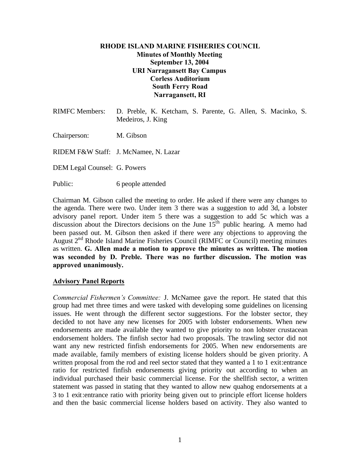### **RHODE ISLAND MARINE FISHERIES COUNCIL Minutes of Monthly Meeting September 13, 2004 URI Narragansett Bay Campus Corless Auditorium South Ferry Road Narragansett, RI**

| RIMFC Members: D. Preble, K. Ketcham, S. Parente, G. Allen, S. Macinko, S. |                   |  |  |  |  |  |  |  |  |
|----------------------------------------------------------------------------|-------------------|--|--|--|--|--|--|--|--|
|                                                                            | Medeiros, J. King |  |  |  |  |  |  |  |  |

Chairperson: M. Gibson

RIDEM F&W Staff: J. McNamee, N. Lazar

DEM Legal Counsel: G. Powers

Public: 6 people attended

Chairman M. Gibson called the meeting to order. He asked if there were any changes to the agenda. There were two. Under item 3 there was a suggestion to add 3d, a lobster advisory panel report. Under item 5 there was a suggestion to add 5c which was a discussion about the Directors decisions on the June  $15<sup>th</sup>$  public hearing. A memo had been passed out. M. Gibson then asked if there were any objections to approving the August 2<sup>nd</sup> Rhode Island Marine Fisheries Council (RIMFC or Council) meeting minutes as written. **G. Allen made a motion to approve the minutes as written. The motion was seconded by D. Preble. There was no further discussion. The motion was approved unanimously.**

#### **Advisory Panel Reports**

*Commercial Fishermen's Committee:* J. McNamee gave the report. He stated that this group had met three times and were tasked with developing some guidelines on licensing issues. He went through the different sector suggestions. For the lobster sector, they decided to not have any new licenses for 2005 with lobster endorsements. When new endorsements are made available they wanted to give priority to non lobster crustacean endorsement holders. The finfish sector had two proposals. The trawling sector did not want any new restricted finfish endorsements for 2005. When new endorsements are made available, family members of existing license holders should be given priority. A written proposal from the rod and reel sector stated that they wanted a 1 to 1 exit:entrance ratio for restricted finfish endorsements giving priority out according to when an individual purchased their basic commercial license. For the shellfish sector, a written statement was passed in stating that they wanted to allow new quahog endorsements at a 3 to 1 exit:entrance ratio with priority being given out to principle effort license holders and then the basic commercial license holders based on activity. They also wanted to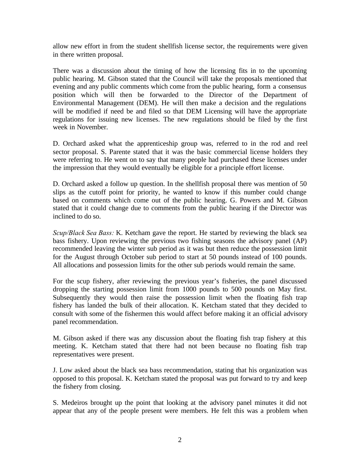allow new effort in from the student shellfish license sector, the requirements were given in there written proposal.

There was a discussion about the timing of how the licensing fits in to the upcoming public hearing. M. Gibson stated that the Council will take the proposals mentioned that evening and any public comments which come from the public hearing, form a consensus position which will then be forwarded to the Director of the Department of Environmental Management (DEM). He will then make a decision and the regulations will be modified if need be and filed so that DEM Licensing will have the appropriate regulations for issuing new licenses. The new regulations should be filed by the first week in November.

D. Orchard asked what the apprenticeship group was, referred to in the rod and reel sector proposal. S. Parente stated that it was the basic commercial license holders they were referring to. He went on to say that many people had purchased these licenses under the impression that they would eventually be eligible for a principle effort license.

D. Orchard asked a follow up question. In the shellfish proposal there was mention of 50 slips as the cutoff point for priority, he wanted to know if this number could change based on comments which come out of the public hearing. G. Powers and M. Gibson stated that it could change due to comments from the public hearing if the Director was inclined to do so.

*Scup/Black Sea Bass:* K. Ketcham gave the report. He started by reviewing the black sea bass fishery. Upon reviewing the previous two fishing seasons the advisory panel (AP) recommended leaving the winter sub period as it was but then reduce the possession limit for the August through October sub period to start at 50 pounds instead of 100 pounds. All allocations and possession limits for the other sub periods would remain the same.

For the scup fishery, after reviewing the previous year's fisheries, the panel discussed dropping the starting possession limit from 1000 pounds to 500 pounds on May first. Subsequently they would then raise the possession limit when the floating fish trap fishery has landed the bulk of their allocation. K. Ketcham stated that they decided to consult with some of the fishermen this would affect before making it an official advisory panel recommendation.

M. Gibson asked if there was any discussion about the floating fish trap fishery at this meeting. K. Ketcham stated that there had not been because no floating fish trap representatives were present.

J. Low asked about the black sea bass recommendation, stating that his organization was opposed to this proposal. K. Ketcham stated the proposal was put forward to try and keep the fishery from closing.

S. Medeiros brought up the point that looking at the advisory panel minutes it did not appear that any of the people present were members. He felt this was a problem when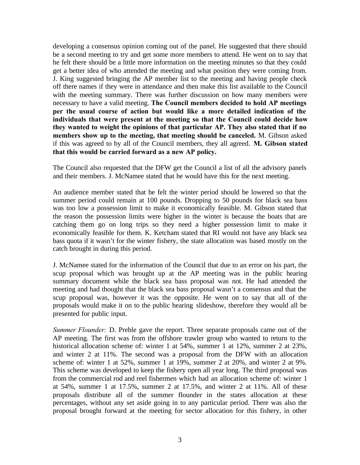developing a consensus opinion coming out of the panel. He suggested that there should be a second meeting to try and get some more members to attend. He went on to say that he felt there should be a little more information on the meeting minutes so that they could get a better idea of who attended the meeting and what position they were coming from. J. King suggested bringing the AP member list to the meeting and having people check off there names if they were in attendance and then make this list available to the Council with the meeting summary. There was further discussion on how many members were necessary to have a valid meeting. **The Council members decided to hold AP meetings per the usual course of action but would like a more detailed indication of the individuals that were present at the meeting so that the Council could decide how they wanted to weight the opinions of that particular AP. They also stated that if no members show up to the meeting, that meeting should be canceled.** M. Gibson asked if this was agreed to by all of the Council members, they all agreed. **M. Gibson stated that this would be carried forward as a new AP policy.**

The Council also requested that the DFW get the Council a list of all the advisory panels and their members. J. McNamee stated that he would have this for the next meeting.

An audience member stated that he felt the winter period should be lowered so that the summer period could remain at 100 pounds. Dropping to 50 pounds for black sea bass was too low a possession limit to make it economically feasible. M. Gibson stated that the reason the possession limits were higher in the winter is because the boats that are catching them go on long trips so they need a higher possession limit to make it economically feasible for them. K. Ketcham stated that RI would not have any black sea bass quota if it wasn't for the winter fishery, the state allocation was based mostly on the catch brought in during this period.

J. McNamee stated for the information of the Council that due to an error on his part, the scup proposal which was brought up at the AP meeting was in the public hearing summary document while the black sea bass proposal was not. He had attended the meeting and had thought that the black sea bass proposal wasn't a consensus and that the scup proposal was, however it was the opposite. He went on to say that all of the proposals would make it on to the public hearing slideshow, therefore they would all be presented for public input.

*Summer Flounder:* D. Preble gave the report. Three separate proposals came out of the AP meeting. The first was from the offshore trawler group who wanted to return to the historical allocation scheme of: winter 1 at 54%, summer 1 at 12%, summer 2 at 23%, and winter 2 at 11%. The second was a proposal from the DFW with an allocation scheme of: winter 1 at 52%, summer 1 at 19%, summer 2 at 20%, and winter 2 at 9%. This scheme was developed to keep the fishery open all year long. The third proposal was from the commercial rod and reel fishermen which had an allocation scheme of: winter 1 at  $54\%$ , summer 1 at  $17.5\%$ , summer 2 at  $17.5\%$ , and winter 2 at  $11\%$ . All of these proposals distribute all of the summer flounder in the states allocation at these percentages, without any set aside going in to any particular period. There was also the proposal brought forward at the meeting for sector allocation for this fishery, in other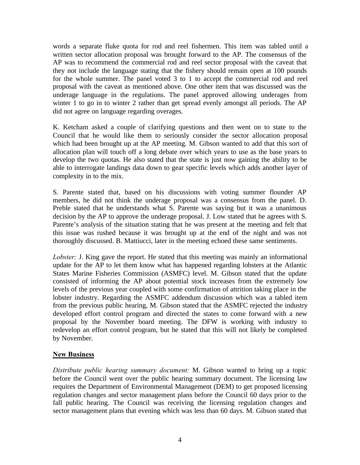words a separate fluke quota for rod and reel fishermen. This item was tabled until a written sector allocation proposal was brought forward to the AP. The consensus of the AP was to recommend the commercial rod and reel sector proposal with the caveat that they not include the language stating that the fishery should remain open at 100 pounds for the whole summer. The panel voted 3 to 1 to accept the commercial rod and reel proposal with the caveat as mentioned above. One other item that was discussed was the underage language in the regulations. The panel approved allowing underages from winter 1 to go in to winter 2 rather than get spread evenly amongst all periods. The AP did not agree on language regarding overages.

K. Ketcham asked a couple of clarifying questions and then went on to state to the Council that he would like them to seriously consider the sector allocation proposal which had been brought up at the AP meeting. M. Gibson wanted to add that this sort of allocation plan will touch off a long debate over which years to use as the base years to develop the two quotas. He also stated that the state is just now gaining the ability to be able to interrogate landings data down to gear specific levels which adds another layer of complexity in to the mix.

S. Parente stated that, based on his discussions with voting summer flounder AP members, he did not think the underage proposal was a consensus from the panel. D. Preble stated that he understands what S. Parente was saying but it was a unanimous decision by the AP to approve the underage proposal. J. Low stated that he agrees with S. Parente's analysis of the situation stating that he was present at the meeting and felt that this issue was rushed because it was brought up at the end of the night and was not thoroughly discussed. B. Mattiucci, later in the meeting echoed these same sentiments.

*Lobster:* J. King gave the report. He stated that this meeting was mainly an informational update for the AP to let them know what has happened regarding lobsters at the Atlantic States Marine Fisheries Commission (ASMFC) level. M. Gibson stated that the update consisted of informing the AP about potential stock increases from the extremely low levels of the previous year coupled with some confirmation of attrition taking place in the lobster industry. Regarding the ASMFC addendum discussion which was a tabled item from the previous public hearing, M. Gibson stated that the ASMFC rejected the industry developed effort control program and directed the states to come forward with a new proposal by the November board meeting. The DFW is working with industry to redevelop an effort control program, but he stated that this will not likely be completed by November.

### **New Business**

*Distribute public hearing summary document:* M. Gibson wanted to bring up a topic before the Council went over the public hearing summary document. The licensing law requires the Department of Environmental Management (DEM) to get proposed licensing regulation changes and sector management plans before the Council 60 days prior to the fall public hearing. The Council was receiving the licensing regulation changes and sector management plans that evening which was less than 60 days. M. Gibson stated that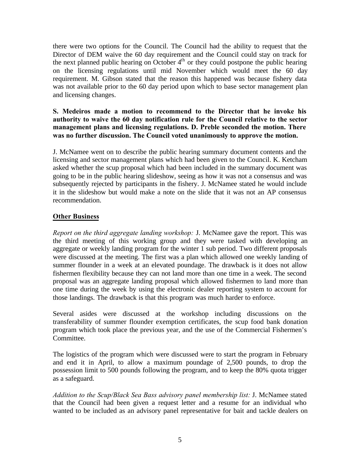there were two options for the Council. The Council had the ability to request that the Director of DEM waive the 60 day requirement and the Council could stay on track for the next planned public hearing on October  $4<sup>th</sup>$  or they could postpone the public hearing on the licensing regulations until mid November which would meet the 60 day requirement. M. Gibson stated that the reason this happened was because fishery data was not available prior to the 60 day period upon which to base sector management plan and licensing changes.

### **S. Medeiros made a motion to recommend to the Director that he invoke his authority to waive the 60 day notification rule for the Council relative to the sector management plans and licensing regulations. D. Preble seconded the motion. There was no further discussion. The Council voted unanimously to approve the motion.**

J. McNamee went on to describe the public hearing summary document contents and the licensing and sector management plans which had been given to the Council. K. Ketcham asked whether the scup proposal which had been included in the summary document was going to be in the public hearing slideshow, seeing as how it was not a consensus and was subsequently rejected by participants in the fishery. J. McNamee stated he would include it in the slideshow but would make a note on the slide that it was not an AP consensus recommendation.

# **Other Business**

*Report on the third aggregate landing workshop:* J. McNamee gave the report. This was the third meeting of this working group and they were tasked with developing an aggregate or weekly landing program for the winter 1 sub period. Two different proposals were discussed at the meeting. The first was a plan which allowed one weekly landing of summer flounder in a week at an elevated poundage. The drawback is it does not allow fishermen flexibility because they can not land more than one time in a week. The second proposal was an aggregate landing proposal which allowed fishermen to land more than one time during the week by using the electronic dealer reporting system to account for those landings. The drawback is that this program was much harder to enforce.

Several asides were discussed at the workshop including discussions on the transferability of summer flounder exemption certificates, the scup food bank donation program which took place the previous year, and the use of the Commercial Fishermen's Committee.

The logistics of the program which were discussed were to start the program in February and end it in April, to allow a maximum poundage of 2,500 pounds, to drop the possession limit to 500 pounds following the program, and to keep the 80% quota trigger as a safeguard.

*Addition to the Scup/Black Sea Bass advisory panel membership list:* J. McNamee stated that the Council had been given a request letter and a resume for an individual who wanted to be included as an advisory panel representative for bait and tackle dealers on